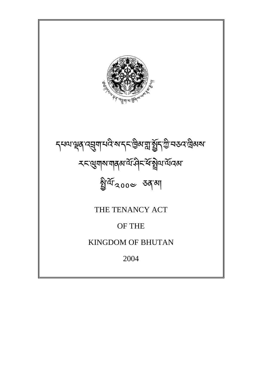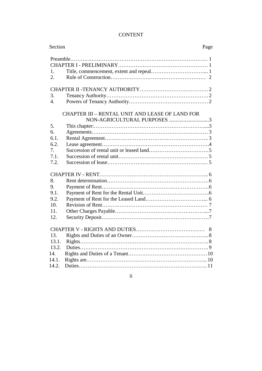### CONTENT

| Section          | Page                                                   |  |
|------------------|--------------------------------------------------------|--|
|                  |                                                        |  |
|                  |                                                        |  |
| 1.               |                                                        |  |
| $\overline{2}$ . |                                                        |  |
|                  |                                                        |  |
| 3.               |                                                        |  |
| $\overline{4}$ . |                                                        |  |
|                  | <b>CHAPTER III - RENTAL UNIT AND LEASE OF LAND FOR</b> |  |
|                  | NON-AGRICULTURAL PURPOSES 3                            |  |
| 5.               |                                                        |  |
| 6.               |                                                        |  |
| 6.1.             |                                                        |  |
| 6.2.             |                                                        |  |
| 7 <sub>1</sub>   |                                                        |  |
| 7.1              |                                                        |  |
| 7.2.             |                                                        |  |
|                  |                                                        |  |
| 8.               |                                                        |  |
| 9.               |                                                        |  |
| 9.1.             |                                                        |  |
| 9.2.             |                                                        |  |
| 10 <sup>1</sup>  |                                                        |  |
| 11.              |                                                        |  |
| 12.              |                                                        |  |
|                  | 8                                                      |  |
| 13.              |                                                        |  |
| 13.1.            |                                                        |  |
| 13.2.            |                                                        |  |
| 14.              |                                                        |  |
| 14.1.            |                                                        |  |
| 14.2.            |                                                        |  |

# ii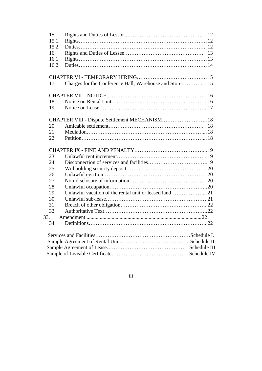| 15.   |                                                         |  |
|-------|---------------------------------------------------------|--|
| 15.1. |                                                         |  |
| 15.2. |                                                         |  |
| 16.   |                                                         |  |
| 16.1. |                                                         |  |
| 16.2. |                                                         |  |
|       |                                                         |  |
| 17.   | Charges for the Conference Hall, Warehouse and Store 15 |  |
|       |                                                         |  |
| 18.   |                                                         |  |
| 19.   |                                                         |  |
|       |                                                         |  |
| 20.   |                                                         |  |
| 21.   |                                                         |  |
| 22.   |                                                         |  |
|       |                                                         |  |
| 23.   |                                                         |  |
| 24.   |                                                         |  |
| 25.   |                                                         |  |
| 26.   |                                                         |  |
| 27.   |                                                         |  |
| 28.   |                                                         |  |
| 29.   |                                                         |  |
| 30.   |                                                         |  |
| 31.   |                                                         |  |
| 32.   |                                                         |  |
| 33.   |                                                         |  |
| 34.   |                                                         |  |
|       |                                                         |  |
|       |                                                         |  |
|       |                                                         |  |
|       |                                                         |  |

iii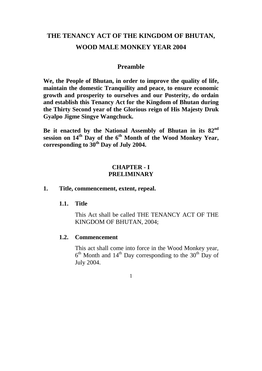# **THE TENANCY ACT OF THE KINGDOM OF BHUTAN, WOOD MALE MONKEY YEAR 2004**

#### **Preamble**

**We, the People of Bhutan, in order to improve the quality of life, maintain the domestic Tranquility and peace, to ensure economic growth and prosperity to ourselves and our Posterity, do ordain and establish this Tenancy Act for the Kingdom of Bhutan during the Thirty Second year of the Glorious reign of His Majesty Druk Gyalpo Jigme Singye Wangchuck.** 

**Be it enacted by the National Assembly of Bhutan in its 82nd session on 14th Day of the 6th Month of the Wood Monkey Year, corresponding to 30th Day of July 2004.** 

### **CHAPTER - I PRELIMINARY**

#### **1. Title, commencement, extent, repeal.**

#### **1.1. Title**

This Act shall be called THE TENANCY ACT OF THE KINGDOM OF BHUTAN, 2004;

#### **1.2. Commencement**

This act shall come into force in the Wood Monkey year,  $6<sup>th</sup>$  Month and  $14<sup>th</sup>$  Day corresponding to the 30<sup>th</sup> Day of July 2004.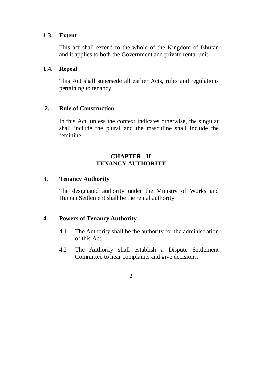#### **1.3. Extent**

This act shall extend to the whole of the Kingdom of Bhutan and it applies to both the Government and private rental unit.

### **1.4. Repeal**

This Act shall supersede all earlier Acts, rules and regulations pertaining to tenancy.

### **2. Rule of Construction**

In this Act, unless the context indicates otherwise, the singular shall include the plural and the masculine shall include the feminine.

## **CHAPTER - II TENANCY AUTHORITY**

### **3. Tenancy Authority**

The designated authority under the Ministry of Works and Human Settlement shall be the rental authority.

### **4. Powers of Tenancy Authority**

- 4.1 The Authority shall be the authority for the administration of this Act.
- 4.2 The Authority shall establish a Dispute Settlement Committee to hear complaints and give decisions.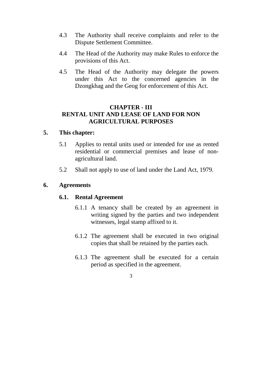- 4.3 The Authority shall receive complaints and refer to the Dispute Settlement Committee.
- 4.4 The Head of the Authority may make Rules to enforce the provisions of this Act.
- 4.5 The Head of the Authority may delegate the powers under this Act to the concerned agencies in the Dzongkhag and the Geog for enforcement of this Act.

### **CHAPTER - III RENTAL UNIT AND LEASE OF LAND FOR NON AGRICULTURAL PURPOSES**

### **5. This chapter:**

- 5.1 Applies to rental units used or intended for use as rented residential or commercial premises and lease of nonagricultural land.
- 5.2 Shall not apply to use of land under the Land Act, 1979.

### **6. Agreements**

#### **6.1. Rental Agreement**

- 6.1.1 A tenancy shall be created by an agreement in writing signed by the parties and two independent witnesses, legal stamp affixed to it.
- 6.1.2 The agreement shall be executed in two original copies that shall be retained by the parties each.
- 6.1.3 The agreement shall be executed for a certain period as specified in the agreement.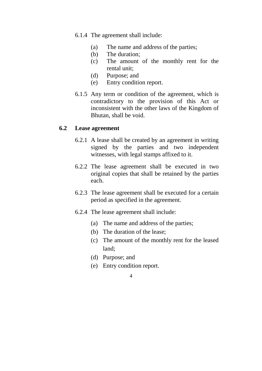6.1.4 The agreement shall include:

- (a) The name and address of the parties;
- (b) The duration;
- (c) The amount of the monthly rent for the rental unit;
- (d) Purpose; and
- (e) Entry condition report.
- 6.1.5 Any term or condition of the agreement, which is contradictory to the provision of this Act or inconsistent with the other laws of the Kingdom of Bhutan, shall be void.

#### **6.2 Lease agreement**

- 6.2.1 A lease shall be created by an agreement in writing signed by the parties and two independent witnesses, with legal stamps affixed to it.
- 6.2.2 The lease agreement shall be executed in two original copies that shall be retained by the parties each.
- 6.2.3 The lease agreement shall be executed for a certain period as specified in the agreement.
- 6.2.4 The lease agreement shall include:
	- (a) The name and address of the parties;
	- (b) The duration of the lease;
	- (c) The amount of the monthly rent for the leased land;
	- (d) Purpose; and
	- (e) Entry condition report.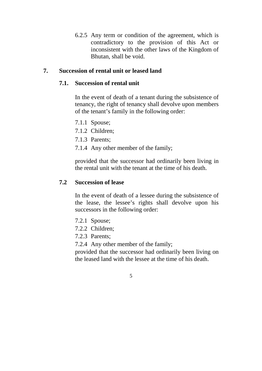6.2.5 Any term or condition of the agreement, which is contradictory to the provision of this Act or inconsistent with the other laws of the Kingdom of Bhutan, shall be void.

### **7. Succession of rental unit or leased land**

#### **7.1. Succession of rental unit**

In the event of death of a tenant during the subsistence of tenancy, the right of tenancy shall devolve upon members of the tenant's family in the following order:

- 7.1.1 Spouse;
- 7.1.2 Children;
- 7.1.3 Parents;
- 7.1.4 Any other member of the family;

provided that the successor had ordinarily been living in the rental unit with the tenant at the time of his death.

#### **7.2 Succession of lease**

In the event of death of a lessee during the subsistence of the lease, the lessee's rights shall devolve upon his successors in the following order:

- 7.2.1 Spouse;
- 7.2.2 Children;
- 7.2.3 Parents;
- 7.2.4 Any other member of the family;

provided that the successor had ordinarily been living on the leased land with the lessee at the time of his death.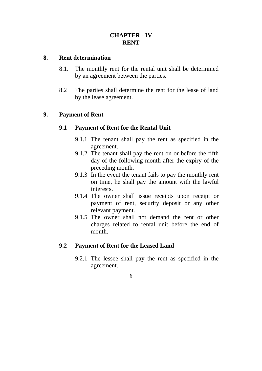## **CHAPTER - IV RENT**

#### **8. Rent determination**

- 8.1. The monthly rent for the rental unit shall be determined by an agreement between the parties.
- 8.2 The parties shall determine the rent for the lease of land by the lease agreement.

### **9. Payment of Rent**

### **9.1 Payment of Rent for the Rental Unit**

- 9.1.1 The tenant shall pay the rent as specified in the agreement.
- 9.1.2 The tenant shall pay the rent on or before the fifth day of the following month after the expiry of the preceding month.
- 9.1.3 In the event the tenant fails to pay the monthly rent on time, he shall pay the amount with the lawful interests.
- 9.1.4 The owner shall issue receipts upon receipt or payment of rent, security deposit or any other relevant payment.
- 9.1.5 The owner shall not demand the rent or other charges related to rental unit before the end of month.

#### **9.2 Payment of Rent for the Leased Land**

9.2.1 The lessee shall pay the rent as specified in the agreement.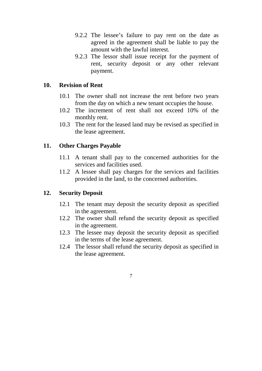- 9.2.2 The lessee's failure to pay rent on the date as agreed in the agreement shall be liable to pay the amount with the lawful interest*.*
- 9.2.3 The lessor shall issue receipt for the payment of rent, security deposit or any other relevant payment.

#### **10. Revision of Rent**

- 10.1 The owner shall not increase the rent before two years from the day on which a new tenant occupies the house.
- 10.2 The increment of rent shall not exceed 10% of the monthly rent.
- 10.3 The rent for the leased land may be revised as specified in the lease agreement.

### **11. Other Charges Payable**

- 11.1 A tenant shall pay to the concerned authorities for the services and facilities used.
- 11.2 A lessee shall pay charges for the services and facilities provided in the land, to the concerned authorities.

### **12. Security Deposit**

- 12.1 The tenant may deposit the security deposit as specified in the agreement.
- 12.2 The owner shall refund the security deposit as specified in the agreement.
- 12.3 The lessee may deposit the security deposit as specified in the terms of the lease agreement.
- 12.4 The lessor shall refund the security deposit as specified in the lease agreement.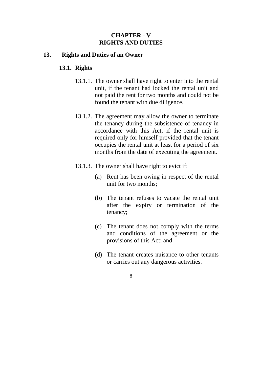### **CHAPTER - V RIGHTS AND DUTIES**

#### **13. Rights and Duties of an Owner**

#### **13.1. Rights**

- 13.1.1. The owner shall have right to enter into the rental unit, if the tenant had locked the rental unit and not paid the rent for two months and could not be found the tenant with due diligence.
- 13.1.2. The agreement may allow the owner to terminate the tenancy during the subsistence of tenancy in accordance with this Act, if the rental unit is required only for himself provided that the tenant occupies the rental unit at least for a period of six months from the date of executing the agreement.
- 13.1.3. The owner shall have right to evict if:
	- (a) Rent has been owing in respect of the rental unit for two months;
	- (b) The tenant refuses to vacate the rental unit after the expiry or termination of the tenancy;
	- (c) The tenant does not comply with the terms and conditions of the agreement or the provisions of this Act; and
	- (d) The tenant creates nuisance to other tenants or carries out any dangerous activities.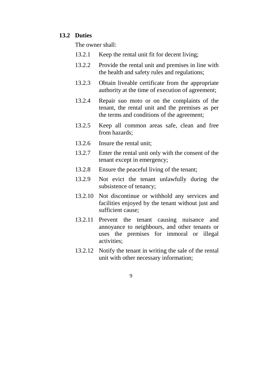#### **13.2 Duties**

The owner shall:

- 13.2.1 Keep the rental unit fit for decent living;
- 13.2.2 Provide the rental unit and premises in line with the health and safety rules and regulations;
- 13.2.3 Obtain liveable certificate from the appropriate authority at the time of execution of agreement;
- 13.2.4 Repair suo moto or on the complaints of the tenant, the rental unit and the premises as per the terms and conditions of the agreement;
- 13.2.5 Keep all common areas safe, clean and free from hazards;
- 13.2.6 Insure the rental unit;
- 13.2.7 Enter the rental unit only with the consent of the tenant except in emergency;
- 13.2.8 Ensure the peaceful living of the tenant;
- 13.2.9 Not evict the tenant unlawfully during the subsistence of tenancy;
- 13.2.10 Not discontinue or withhold any services and facilities enjoyed by the tenant without just and sufficient cause;
- 13.2.11 Prevent the tenant causing nuisance and annoyance to neighbours, and other tenants or uses the premises for immoral or illegal activities;
- 13.2.12 Notify the tenant in writing the sale of the rental unit with other necessary information;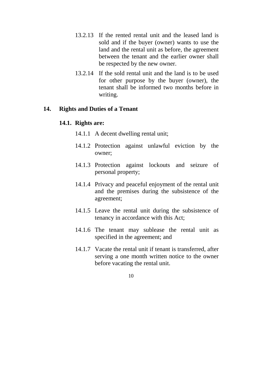- 13.2.13 If the rented rental unit and the leased land is sold and if the buyer (owner) wants to use the land and the rental unit as before, the agreement between the tenant and the earlier owner shall be respected by the new owner.
- 13.2.14 If the sold rental unit and the land is to be used for other purpose by the buyer (owner), the tenant shall be informed two months before in writing.

#### **14. Rights and Duties of a Tenant**

#### **14.1. Rights are:**

- 14.1.1 A decent dwelling rental unit;
- 14.1.2 Protection against unlawful eviction by the owner;
- 14.1.3 Protection against lockouts and seizure of personal property;
- 14.1.4 Privacy and peaceful enjoyment of the rental unit and the premises during the subsistence of the agreement;
- 14.1.5 Leave the rental unit during the subsistence of tenancy in accordance with this Act;
- 14.1.6 The tenant may sublease the rental unit as specified in the agreement; and
- 14.1.7 Vacate the rental unit if tenant is transferred, after serving a one month written notice to the owner before vacating the rental unit.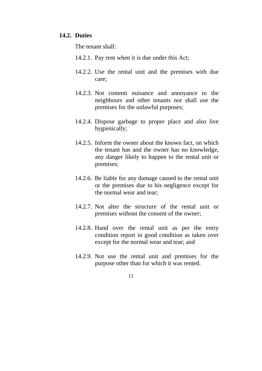#### **14.2. Duties**

The tenant shall:

- 14.2.1. Pay rent when it is due under this Act;
- 14.2.2. Use the rental unit and the premises with due care;
- 14.2.3. Not commit nuisance and annoyance to the neighbours and other tenants nor shall use the premises for the unlawful purposes;
- 14.2.4. Dispose garbage to proper place and also live hygienically;
- 14.2.5. Inform the owner about the known fact, on which the tenant has and the owner has no knowledge, any danger likely to happen to the rental unit or premises;
- 14.2.6. Be liable for any damage caused to the rental unit or the premises due to his negligence except for the normal wear and tear;
- 14.2.7. Not alter the structure of the rental unit or premises without the consent of the owner;
- 14.2.8. Hand over the rental unit as per the entry condition report in good condition as taken over except for the normal wear and tear; and
- 14.2.9. Not use the rental unit and premises for the purpose other than for which it was rented.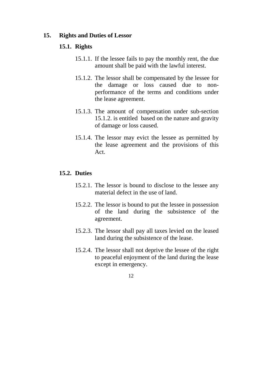#### **15. Rights and Duties of Lessor**

#### **15.1. Rights**

- 15.1.1. If the lessee fails to pay the monthly rent, the due amount shall be paid with the lawful interest.
- 15.1.2. The lessor shall be compensated by the lessee for the damage or loss caused due to nonperformance of the terms and conditions under the lease agreement.
- 15.1.3. The amount of compensation under sub-section 15.1.2. is entitled based on the nature and gravity of damage or loss caused.
- 15.1.4. The lessor may evict the lessee as permitted by the lease agreement and the provisions of this Act.

#### **15.2. Duties**

- 15.2.1. The lessor is bound to disclose to the lessee any material defect in the use of land.
- 15.2.2. The lessor is bound to put the lessee in possession of the land during the subsistence of the agreement.
- 15.2.3. The lessor shall pay all taxes levied on the leased land during the subsistence of the lease.
- 15.2.4. The lessor shall not deprive the lessee of the right to peaceful enjoyment of the land during the lease except in emergency.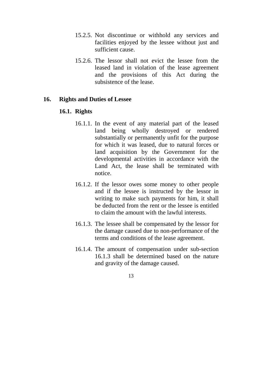- 15.2.5. Not discontinue or withhold any services and facilities enjoyed by the lessee without just and sufficient cause.
- 15.2.6. The lessor shall not evict the lessee from the leased land in violation of the lease agreement and the provisions of this Act during the subsistence of the lease.

#### **16. Rights and Duties of Lessee**

#### **16.1. Rights**

- 16.1.1. In the event of any material part of the leased land being wholly destroyed or rendered substantially or permanently unfit for the purpose for which it was leased, due to natural forces or land acquisition by the Government for the developmental activities in accordance with the Land Act, the lease shall be terminated with notice.
- 16.1.2. If the lessor owes some money to other people and if the lessee is instructed by the lessor in writing to make such payments for him, it shall be deducted from the rent or the lessee is entitled to claim the amount with the lawful interests.
- 16.1.3. The lessee shall be compensated by the lessor for the damage caused due to non-performance of the terms and conditions of the lease agreement.
- 16.1.4. The amount of compensation under sub-section 16.1.3 shall be determined based on the nature and gravity of the damage caused.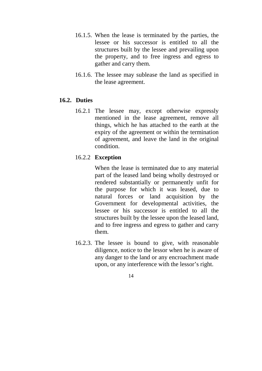- 16.1.5. When the lease is terminated by the parties, the lessee or his successor is entitled to all the structures built by the lessee and prevailing upon the property, and to free ingress and egress to gather and carry them.
- 16.1.6. The lessee may sublease the land as specified in the lease agreement.

### **16.2. Duties**

16.2.1 The lessee may, except otherwise expressly mentioned in the lease agreement, remove all things, which he has attached to the earth at the expiry of the agreement or within the termination of agreement, and leave the land in the original condition.

### 16.2.2 **Exception**

When the lease is terminated due to any material part of the leased land being wholly destroyed or rendered substantially or permanently unfit for the purpose for which it was leased, due to natural forces or land acquisition by the Government for developmental activities, the lessee or his successor is entitled to all the structures built by the lessee upon the leased land, and to free ingress and egress to gather and carry them.

16.2.3. The lessee is bound to give, with reasonable diligence, notice to the lessor when he is aware of any danger to the land or any encroachment made upon, or any interference with the lessor's right.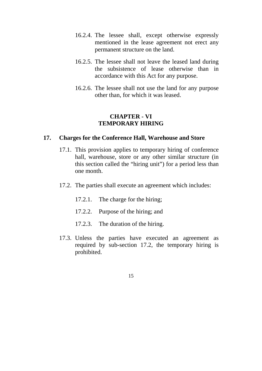- 16.2.4. The lessee shall, except otherwise expressly mentioned in the lease agreement not erect any permanent structure on the land.
- 16.2.5. The lessee shall not leave the leased land during the subsistence of lease otherwise than in accordance with this Act for any purpose.
- 16.2.6. The lessee shall not use the land for any purpose other than, for which it was leased.

#### **CHAPTER - VI TEMPORARY HIRING**

#### **17. Charges for the Conference Hall, Warehouse and Store**

- 17.1. This provision applies to temporary hiring of conference hall, warehouse, store or any other similar structure (in this section called the "hiring unit") for a period less than one month.
- 17.2. The parties shall execute an agreement which includes:
	- 17.2.1. The charge for the hiring;
	- 17.2.2. Purpose of the hiring; and
	- 17.2.3. The duration of the hiring.
- 17.3. Unless the parties have executed an agreement as required by sub-section 17.2, the temporary hiring is prohibited.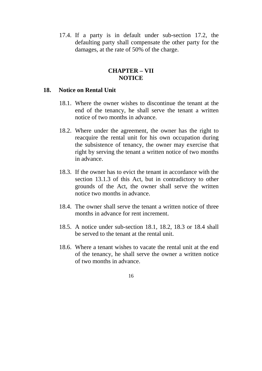17.4. If a party is in default under sub-section 17.2, the defaulting party shall compensate the other party for the damages, at the rate of 50% of the charge.

#### **CHAPTER – VII NOTICE**

#### **18. Notice on Rental Unit**

- 18.1. Where the owner wishes to discontinue the tenant at the end of the tenancy, he shall serve the tenant a written notice of two months in advance.
- 18.2. Where under the agreement, the owner has the right to reacquire the rental unit for his own occupation during the subsistence of tenancy, the owner may exercise that right by serving the tenant a written notice of two months in advance.
- 18.3. If the owner has to evict the tenant in accordance with the section 13.1.3 of this Act, but in contradictory to other grounds of the Act, the owner shall serve the written notice two months in advance.
- 18.4. The owner shall serve the tenant a written notice of three months in advance for rent increment.
- 18.5. A notice under sub-section 18.1, 18.2, 18.3 or 18.4 shall be served to the tenant at the rental unit.
- 18.6. Where a tenant wishes to vacate the rental unit at the end of the tenancy, he shall serve the owner a written notice of two months in advance.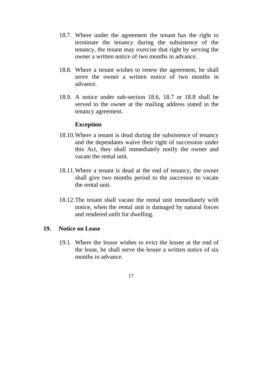- 18.7. Where under the agreement the tenant has the right to terminate the tenancy during the subsistence of the tenancy, the tenant may exercise that right by serving the owner a written notice of two months in advance.
- 18.8. Where a tenant wishes to renew the agreement, he shall serve the owner a written notice of two months in advance.
- 18.9. A notice under sub-section 18.6, 18.7 or 18.8 shall be served to the owner at the mailing address stated in the tenancy agreement.

#### **Exception**

- 18.10.Where a tenant is dead during the subsistence of tenancy and the dependants waive their right of succession under this Act, they shall immediately notify the owner and vacate the rental unit.
- 18.11.Where a tenant is dead at the end of tenancy, the owner shall give two months period to the successor to vacate the rental unit.
- 18.12.The tenant shall vacate the rental unit immediately with notice, when the rental unit is damaged by natural forces and rendered unfit for dwelling.

#### **19. Notice on Lease**

19.1. Where the lessor wishes to evict the lessee at the end of the lease, he shall serve the lessee a written notice of six months in advance.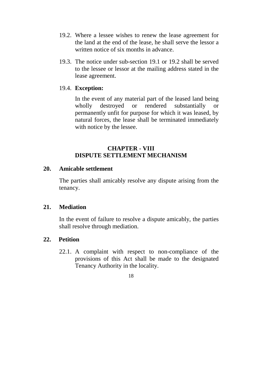- 19.2. Where a lessee wishes to renew the lease agreement for the land at the end of the lease, he shall serve the lessor a written notice of six months in advance.
- 19.3. The notice under sub-section 19.1 or 19.2 shall be served to the lessee or lessor at the mailing address stated in the lease agreement.

### 19.4. **Exception:**

In the event of any material part of the leased land being wholly destroyed or rendered substantially or permanently unfit for purpose for which it was leased, by natural forces, the lease shall be terminated immediately with notice by the lessee.

### **CHAPTER - VIII DISPUTE SETTLEMENT MECHANISM**

#### **20. Amicable settlement**

The parties shall amicably resolve any dispute arising from the tenancy.

#### **21. Mediation**

In the event of failure to resolve a dispute amicably, the parties shall resolve through mediation.

#### **22. Petition**

22.1. A complaint with respect to non-compliance of the provisions of this Act shall be made to the designated Tenancy Authority in the locality.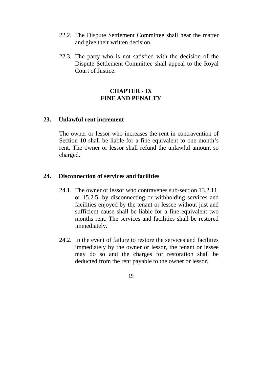- 22.2. The Dispute Settlement Committee shall hear the matter and give their written decision.
- 22.3. The party who is not satisfied with the decision of the Dispute Settlement Committee shall appeal to the Royal Court of Justice.

### **CHAPTER - IX FINE AND PENALTY**

#### **23. Unlawful rent increment**

The owner or lessor who increases the rent in contravention of Section 10 shall be liable for a fine equivalent to one month's rent. The owner or lessor shall refund the unlawful amount so charged.

#### **24. Disconnection of services and facilities**

- 24.1. The owner or lessor who contravenes sub-section 13.2.11. or 15.2.5. by disconnecting or withholding services and facilities enjoyed by the tenant or lessee without just and sufficient cause shall be liable for a fine equivalent two months rent. The services and facilities shall be restored immediately.
- 24.2. In the event of failure to restore the services and facilities immediately by the owner or lessor, the tenant or lessee may do so and the charges for restoration shall be deducted from the rent payable to the owner or lessor.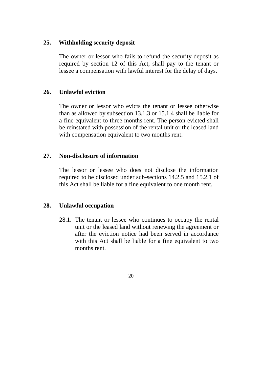### **25. Withholding security deposit**

The owner or lessor who fails to refund the security deposit as required by section 12 of this Act, shall pay to the tenant or lessee a compensation with lawful interest for the delay of days.

### **26. Unlawful eviction**

The owner or lessor who evicts the tenant or lessee otherwise than as allowed by subsection 13.1.3 or 15.1.4 shall be liable for a fine equivalent to three months rent. The person evicted shall be reinstated with possession of the rental unit or the leased land with compensation equivalent to two months rent.

### **27. Non-disclosure of information**

The lessor or lessee who does not disclose the information required to be disclosed under sub-sections 14.2.5 and 15.2.1 of this Act shall be liable for a fine equivalent to one month rent.

#### **28. Unlawful occupation**

28.1. The tenant or lessee who continues to occupy the rental unit or the leased land without renewing the agreement or after the eviction notice had been served in accordance with this Act shall be liable for a fine equivalent to two months rent.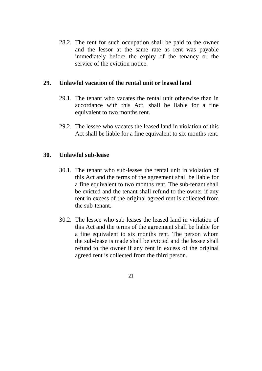28.2. The rent for such occupation shall be paid to the owner and the lessor at the same rate as rent was payable immediately before the expiry of the tenancy or the service of the eviction notice.

### **29. Unlawful vacation of the rental unit or leased land**

- 29.1. The tenant who vacates the rental unit otherwise than in accordance with this Act, shall be liable for a fine equivalent to two months rent.
- 29.2. The lessee who vacates the leased land in violation of this Act shall be liable for a fine equivalent to six months rent.

### **30. Unlawful sub-lease**

- 30.1. The tenant who sub-leases the rental unit in violation of this Act and the terms of the agreement shall be liable for a fine equivalent to two months rent. The sub-tenant shall be evicted and the tenant shall refund to the owner if any rent in excess of the original agreed rent is collected from the sub-tenant.
- 30.2. The lessee who sub-leases the leased land in violation of this Act and the terms of the agreement shall be liable for a fine equivalent to six months rent. The person whom the sub-lease is made shall be evicted and the lessee shall refund to the owner if any rent in excess of the original agreed rent is collected from the third person.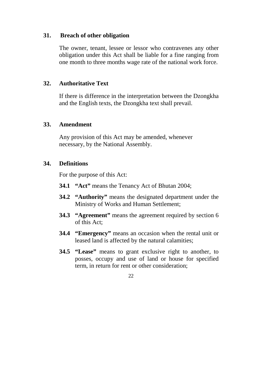#### **31. Breach of other obligation**

The owner, tenant, lessee or lessor who contravenes any other obligation under this Act shall be liable for a fine ranging from one month to three months wage rate of the national work force.

### **32. Authoritative Text**

If there is difference in the interpretation between the Dzongkha and the English texts, the Dzongkha text shall prevail.

### **33. Amendment**

Any provision of this Act may be amended, whenever necessary, by the National Assembly.

### **34. Definitions**

For the purpose of this Act:

- **34.1 "Act"** means the Tenancy Act of Bhutan 2004;
- **34.2 "Authority"** means the designated department under the Ministry of Works and Human Settlement;
- **34.3 "Agreement"** means the agreement required by section 6 of this Act;
- **34.4 "Emergency"** means an occasion when the rental unit or leased land is affected by the natural calamities;
- **34.5 "Lease"** means to grant exclusive right to another, to posses, occupy and use of land or house for specified term, in return for rent or other consideration;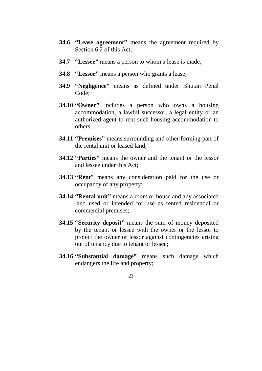- **34.6 "Lease agreement"** means the agreement required by Section 6.2 of this Act;
- **34.7 "Lessee"** means a person to whom a lease is made;
- **34.8 "Lessor"** means a person who grants a lease;
- **34.9 "Negligence"** means as defined under Bhutan Penal Code;
- **34.10 "Owner"** includes a person who owns a housing accommodation, a lawful successor, a legal entity or an authorized agent to rent such housing accommodation to others;
- **34.11 "Premises"** means surrounding and other forming part of the rental unit or leased land;
- **34.12 "Parties"** means the owner and the tenant or the lessor and lessee under this Act;
- **34.13 "Rent**" means any consideration paid for the use or occupancy of any property;
- **34.14 "Rental unit"** means a room or house and any associated land used or intended for use as rented residential or commercial premises;
- **34.15 "Security deposit"** means the sum of money deposited by the tenant or lessee with the owner or the lessor to protect the owner or lessor against contingencies arising out of tenancy due to tenant or lessee;
- **34.16 "Substantial damage"** means such damage which endangers the life and property;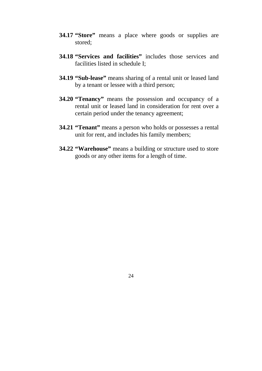- **34.17 "Store"** means a place where goods or supplies are stored;
- **34.18 "Services and facilities"** includes those services and facilities listed in schedule I;
- **34.19 "Sub-lease"** means sharing of a rental unit or leased land by a tenant or lessee with a third person;
- **34.20 "Tenancy"** means the possession and occupancy of a rental unit or leased land in consideration for rent over a certain period under the tenancy agreement;
- **34.21 "Tenant"** means a person who holds or possesses a rental unit for rent, and includes his family members;
- **34.22 "Warehouse"** means a building or structure used to store goods or any other items for a length of time.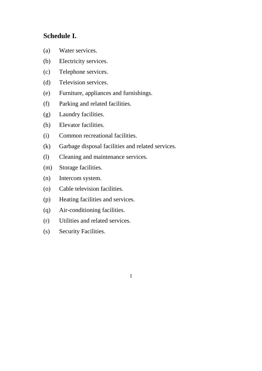# **Schedule I.**

- (a) Water services.
- (b) Electricity services.
- (c) Telephone services.
- (d) Television services.
- (e) Furniture, appliances and furnishings.
- (f) Parking and related facilities.
- (g) Laundry facilities.
- (h) Elevator facilities.
- (i) Common recreational facilities.
- (k) Garbage disposal facilities and related services.
- (l) Cleaning and maintenance services.
- (m) Storage facilities.
- (n) Intercom system.
- (o) Cable television facilities.
- (p) Heating facilities and services.
- (q) Air-conditioning facilities.
- (r) Utilities and related services.
- (s) Security Facilities.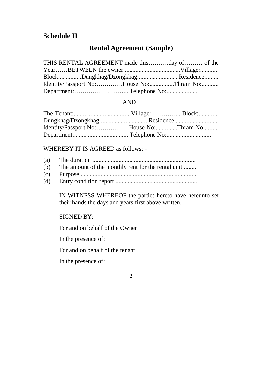# **Schedule II**

# **Rental Agreement (Sample)**

| THIS RENTAL AGREEMENT made thisday of of the |  |
|----------------------------------------------|--|
|                                              |  |
| Block:Dungkhag/Dzongkhag:Residence:          |  |
| Identity/Passport No:House No:Thram No:      |  |
|                                              |  |

#### AND

WHEREBY IT IS AGREED as follows: -

- (a) The duration ...................................................................
- (b) The amount of the monthly rent for the rental unit ........
- (c) Purpose ...........................................................................
- (d) Entry condition report .....................................................

IN WITNESS WHEREOF the parties hereto have hereunto set their hands the days and years first above written.

### SIGNED BY:

For and on behalf of the Owner

In the presence of:

For and on behalf of the tenant

In the presence of: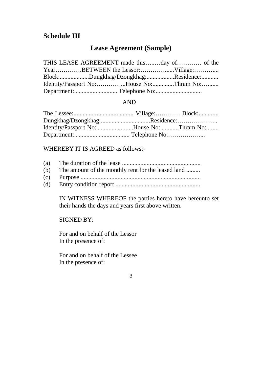# **Schedule III**

# **Lease Agreement (Sample)**

| Block:Dungkhag/Dzongkhag:Residence:     |  |
|-----------------------------------------|--|
| Identity/Passport No:House No:Thram No: |  |
|                                         |  |

#### AND

| Dungkhag/Dzongkhag:Residence:           |  |
|-----------------------------------------|--|
| Identity/Passport No:House No:Thram No: |  |
|                                         |  |

WHEREBY IT IS AGREED as follows:-

- (a) The duration of the lease ...................................................
- (b) The amount of the monthly rent for the leased land .........
- (c) Purpose ..............................................................................
- (d) Entry condition report .......................................................

IN WITNESS WHEREOF the parties hereto have hereunto set their hands the days and years first above written.

SIGNED BY:

For and on behalf of the Lessor In the presence of:

For and on behalf of the Lessee In the presence of: